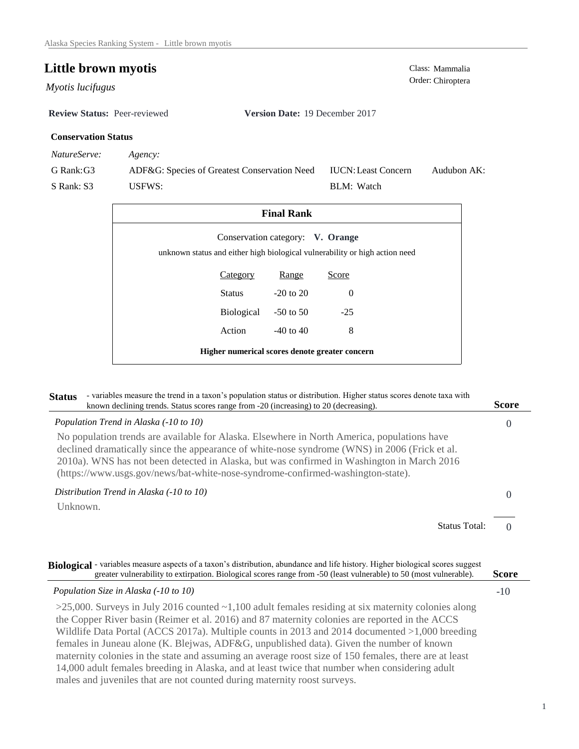# **Little brown myotis** Class: Mammalia Class: Mammalia Order: Chiroptera

Order: Chiroptera *Myotis lucifugus* 

**Review Status:** Peer-reviewed **Version Date:** 19 December 2017

# **Conservation Status**

*NatureServe: Agency:*

G Rank:G3

S Rank: S3

ADF&G: Species of Greatest Conservation Need USFWS: Audubon AK: BLM: Watch IUCN:Least Concern

| <b>Final Rank</b>                                                                                               |            |               |          |  |  |
|-----------------------------------------------------------------------------------------------------------------|------------|---------------|----------|--|--|
| Conservation category: V. Orange<br>unknown status and either high biological vulnerability or high action need |            |               |          |  |  |
|                                                                                                                 | Category   | Range         | Score    |  |  |
|                                                                                                                 | Status     | $-20$ to $20$ | $\Omega$ |  |  |
|                                                                                                                 | Biological | $-50$ to 50   | $-25$    |  |  |
|                                                                                                                 | Action     | $-40$ to $40$ | 8        |  |  |
| Higher numerical scores denote greater concern                                                                  |            |               |          |  |  |

| - variables measure the trend in a taxon's population status or distribution. Higher status scores denote taxa with<br><b>Status</b><br>known declining trends. Status scores range from -20 (increasing) to 20 (decreasing).                                                                                                                                                 | <b>Score</b> |
|-------------------------------------------------------------------------------------------------------------------------------------------------------------------------------------------------------------------------------------------------------------------------------------------------------------------------------------------------------------------------------|--------------|
| Population Trend in Alaska (-10 to 10)                                                                                                                                                                                                                                                                                                                                        | O            |
| No population trends are available for Alaska. Elsewhere in North America, populations have<br>declined dramatically since the appearance of white-nose syndrome (WNS) in 2006 (Frick et al.<br>2010a). WNS has not been detected in Alaska, but was confirmed in Washington in March 2016<br>(https://www.usgs.gov/news/bat-white-nose-syndrome-confirmed-washington-state). |              |
| Distribution Trend in Alaska (-10 to 10)                                                                                                                                                                                                                                                                                                                                      | $\theta$     |
| Unknown.                                                                                                                                                                                                                                                                                                                                                                      |              |
| <b>Status Total:</b>                                                                                                                                                                                                                                                                                                                                                          |              |

| Biological - variables measure aspects of a taxon's distribution, abundance and life history. Higher biological scores suggest<br>greater vulnerability to extirpation. Biological scores range from -50 (least vulnerable) to 50 (most vulnerable).                                                                                                                                                                                                                                                                                                                                                                                                                                                  | <b>Score</b> |
|-------------------------------------------------------------------------------------------------------------------------------------------------------------------------------------------------------------------------------------------------------------------------------------------------------------------------------------------------------------------------------------------------------------------------------------------------------------------------------------------------------------------------------------------------------------------------------------------------------------------------------------------------------------------------------------------------------|--------------|
| Population Size in Alaska (-10 to 10)                                                                                                                                                                                                                                                                                                                                                                                                                                                                                                                                                                                                                                                                 | $-10$        |
| $>$ 25,000. Surveys in July 2016 counted $\sim$ 1,100 adult females residing at six maternity colonies along<br>the Copper River basin (Reimer et al. 2016) and 87 maternity colonies are reported in the ACCS<br>Wildlife Data Portal (ACCS 2017a). Multiple counts in 2013 and 2014 documented $>1,000$ breeding<br>females in Juneau alone (K. Blejwas, ADF&G, unpublished data). Given the number of known<br>maternity colonies in the state and assuming an average roost size of 150 females, there are at least<br>14,000 adult females breeding in Alaska, and at least twice that number when considering adult<br>males and juveniles that are not counted during maternity roost surveys. |              |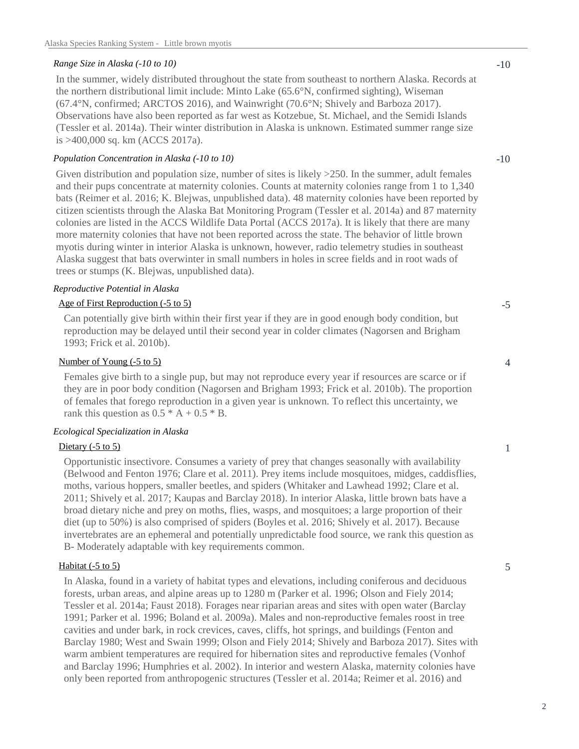#### *Range Size in Alaska (-10 to 10)*

In the summer, widely distributed throughout the state from southeast to northern Alaska. Records at the northern distributional limit include: Minto Lake (65.6°N, confirmed sighting), Wiseman (67.4°N, confirmed; ARCTOS 2016), and Wainwright (70.6°N; Shively and Barboza 2017). Observations have also been reported as far west as Kotzebue, St. Michael, and the Semidi Islands (Tessler et al. 2014a). Their winter distribution in Alaska is unknown. Estimated summer range size is >400,000 sq. km (ACCS 2017a).

#### *Population Concentration in Alaska (-10 to 10)*

Given distribution and population size, number of sites is likely  $>250$ . In the summer, adult females and their pups concentrate at maternity colonies. Counts at maternity colonies range from 1 to 1,340 bats (Reimer et al. 2016; K. Blejwas, unpublished data). 48 maternity colonies have been reported by citizen scientists through the Alaska Bat Monitoring Program (Tessler et al. 2014a) and 87 maternity colonies are listed in the ACCS Wildlife Data Portal (ACCS 2017a). It is likely that there are many more maternity colonies that have not been reported across the state. The behavior of little brown myotis during winter in interior Alaska is unknown, however, radio telemetry studies in southeast Alaska suggest that bats overwinter in small numbers in holes in scree fields and in root wads of trees or stumps (K. Blejwas, unpublished data).

#### *Reproductive Potential in Alaska*

## Age of First Reproduction (-5 to 5)

Can potentially give birth within their first year if they are in good enough body condition, but reproduction may be delayed until their second year in colder climates (Nagorsen and Brigham 1993; Frick et al. 2010b).

### Number of Young (-5 to 5)

Females give birth to a single pup, but may not reproduce every year if resources are scarce or if they are in poor body condition (Nagorsen and Brigham 1993; Frick et al. 2010b). The proportion of females that forego reproduction in a given year is unknown. To reflect this uncertainty, we rank this question as  $0.5 * A + 0.5 * B$ .

#### *Ecological Specialization in Alaska*

#### Dietary  $(-5 \text{ to } 5)$

Opportunistic insectivore. Consumes a variety of prey that changes seasonally with availability (Belwood and Fenton 1976; Clare et al. 2011). Prey items include mosquitoes, midges, caddisflies, moths, various hoppers, smaller beetles, and spiders (Whitaker and Lawhead 1992; Clare et al. 2011; Shively et al. 2017; Kaupas and Barclay 2018). In interior Alaska, little brown bats have a broad dietary niche and prey on moths, flies, wasps, and mosquitoes; a large proportion of their diet (up to 50%) is also comprised of spiders (Boyles et al. 2016; Shively et al. 2017). Because invertebrates are an ephemeral and potentially unpredictable food source, we rank this question as B- Moderately adaptable with key requirements common.

#### Habitat (-5 to 5)

In Alaska, found in a variety of habitat types and elevations, including coniferous and deciduous forests, urban areas, and alpine areas up to 1280 m (Parker et al. 1996; Olson and Fiely 2014; Tessler et al. 2014a; Faust 2018). Forages near riparian areas and sites with open water (Barclay 1991; Parker et al. 1996; Boland et al. 2009a). Males and non-reproductive females roost in tree cavities and under bark, in rock crevices, caves, cliffs, hot springs, and buildings (Fenton and Barclay 1980; West and Swain 1999; Olson and Fiely 2014; Shively and Barboza 2017). Sites with warm ambient temperatures are required for hibernation sites and reproductive females (Vonhof and Barclay 1996; Humphries et al. 2002). In interior and western Alaska, maternity colonies have only been reported from anthropogenic structures (Tessler et al. 2014a; Reimer et al. 2016) and

-10

-5

4

1

5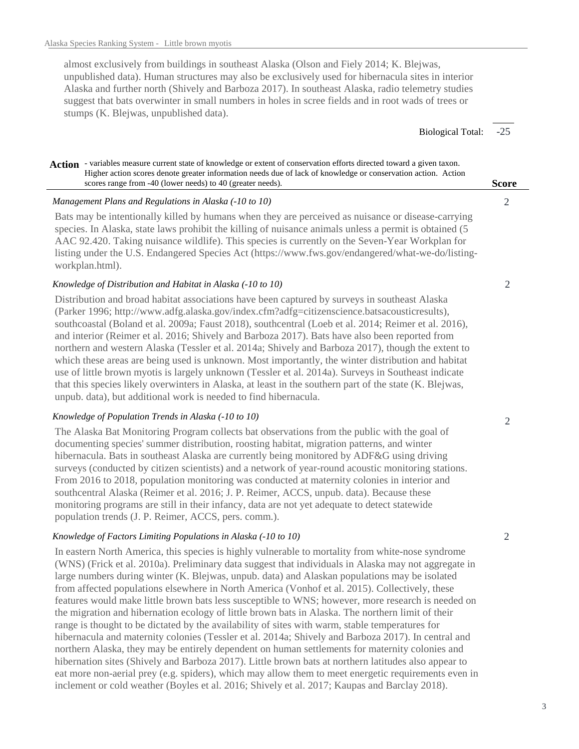almost exclusively from buildings in southeast Alaska (Olson and Fiely 2014; K. Blejwas, unpublished data). Human structures may also be exclusively used for hibernacula sites in interior Alaska and further north (Shively and Barboza 2017). In southeast Alaska, radio telemetry studies suggest that bats overwinter in small numbers in holes in scree fields and in root wads of trees or stumps (K. Blejwas, unpublished data).

> -25 Biological Total:

#### Action - variables measure current state of knowledge or extent of conservation efforts directed toward a given taxon. **Score** Higher action scores denote greater information needs due of lack of knowledge or conservation action. Action scores range from -40 (lower needs) to 40 (greater needs).

#### *Management Plans and Regulations in Alaska (-10 to 10)*

Bats may be intentionally killed by humans when they are perceived as nuisance or disease-carrying species. In Alaska, state laws prohibit the killing of nuisance animals unless a permit is obtained (5 AAC 92.420. Taking nuisance wildlife). This species is currently on the Seven-Year Workplan for listing under the U.S. Endangered Species Act (https://www.fws.gov/endangered/what-we-do/listingworkplan.html).

#### *Knowledge of Distribution and Habitat in Alaska (-10 to 10)*

Distribution and broad habitat associations have been captured by surveys in southeast Alaska (Parker 1996; http://www.adfg.alaska.gov/index.cfm?adfg=citizenscience.batsacousticresults), southcoastal (Boland et al. 2009a; Faust 2018), southcentral (Loeb et al. 2014; Reimer et al. 2016), and interior (Reimer et al. 2016; Shively and Barboza 2017). Bats have also been reported from northern and western Alaska (Tessler et al. 2014a; Shively and Barboza 2017), though the extent to which these areas are being used is unknown. Most importantly, the winter distribution and habitat use of little brown myotis is largely unknown (Tessler et al. 2014a). Surveys in Southeast indicate that this species likely overwinters in Alaska, at least in the southern part of the state (K. Blejwas, unpub. data), but additional work is needed to find hibernacula.

## *Knowledge of Population Trends in Alaska (-10 to 10)*

The Alaska Bat Monitoring Program collects bat observations from the public with the goal of documenting species' summer distribution, roosting habitat, migration patterns, and winter hibernacula. Bats in southeast Alaska are currently being monitored by ADF&G using driving surveys (conducted by citizen scientists) and a network of year-round acoustic monitoring stations. From 2016 to 2018, population monitoring was conducted at maternity colonies in interior and southcentral Alaska (Reimer et al. 2016; J. P. Reimer, ACCS, unpub. data). Because these monitoring programs are still in their infancy, data are not yet adequate to detect statewide population trends (J. P. Reimer, ACCS, pers. comm.).

## *Knowledge of Factors Limiting Populations in Alaska (-10 to 10)*

In eastern North America, this species is highly vulnerable to mortality from white-nose syndrome (WNS) (Frick et al. 2010a). Preliminary data suggest that individuals in Alaska may not aggregate in large numbers during winter (K. Blejwas, unpub. data) and Alaskan populations may be isolated from affected populations elsewhere in North America (Vonhof et al. 2015). Collectively, these features would make little brown bats less susceptible to WNS; however, more research is needed on the migration and hibernation ecology of little brown bats in Alaska. The northern limit of their range is thought to be dictated by the availability of sites with warm, stable temperatures for hibernacula and maternity colonies (Tessler et al. 2014a; Shively and Barboza 2017). In central and northern Alaska, they may be entirely dependent on human settlements for maternity colonies and hibernation sites (Shively and Barboza 2017). Little brown bats at northern latitudes also appear to eat more non-aerial prey (e.g. spiders), which may allow them to meet energetic requirements even in inclement or cold weather (Boyles et al. 2016; Shively et al. 2017; Kaupas and Barclay 2018).

 $\mathcal{D}_{\mathcal{L}}$ 

2

 $\mathfrak{D}$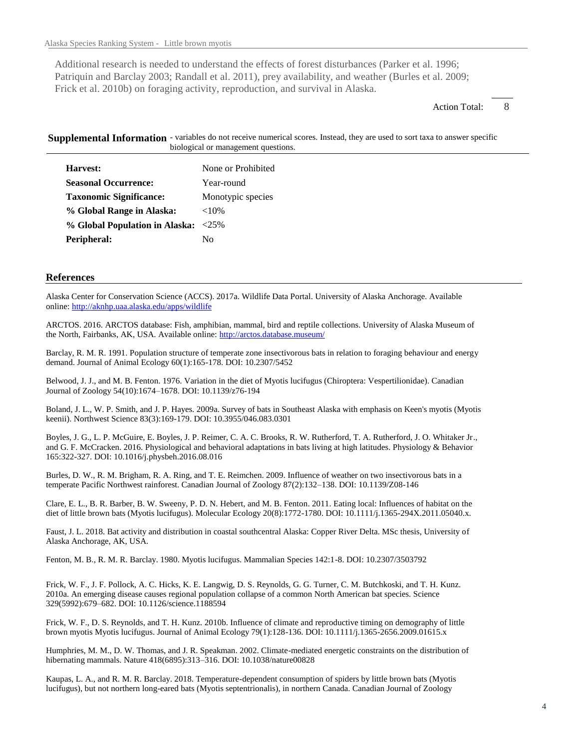Additional research is needed to understand the effects of forest disturbances (Parker et al. 1996; Patriquin and Barclay 2003; Randall et al. 2011), prey availability, and weather (Burles et al. 2009; Frick et al. 2010b) on foraging activity, reproduction, and survival in Alaska.

> 8 Action Total:

Supplemental Information - variables do not receive numerical scores. Instead, they are used to sort taxa to answer specific biological or management questions.

| Harvest:                            | None or Prohibited |
|-------------------------------------|--------------------|
| <b>Seasonal Occurrence:</b>         | Year-round         |
| <b>Taxonomic Significance:</b>      | Monotypic species  |
| % Global Range in Alaska:           | ${<}10\%$          |
| % Global Population in Alaska: <25% |                    |
| Peripheral:                         | Nο                 |

#### **References**

Alaska Center for Conservation Science (ACCS). 2017a. Wildlife Data Portal. University of Alaska Anchorage. Available online: http://aknhp.uaa.alaska.edu/apps/wildlife

ARCTOS. 2016. ARCTOS database: Fish, amphibian, mammal, bird and reptile collections. University of Alaska Museum of the North, Fairbanks, AK, USA. Available online: http://arctos.database.museum/

Barclay, R. M. R. 1991. Population structure of temperate zone insectivorous bats in relation to foraging behaviour and energy demand. Journal of Animal Ecology 60(1):165-178. DOI: 10.2307/5452

Belwood, J. J., and M. B. Fenton. 1976. Variation in the diet of Myotis lucifugus (Chiroptera: Vespertilionidae). Canadian Journal of Zoology 54(10):1674–1678. DOI: 10.1139/z76-194

Boland, J. L., W. P. Smith, and J. P. Hayes. 2009a. Survey of bats in Southeast Alaska with emphasis on Keen's myotis (Myotis keenii). Northwest Science 83(3):169-179. DOI: 10.3955/046.083.0301

Boyles, J. G., L. P. McGuire, E. Boyles, J. P. Reimer, C. A. C. Brooks, R. W. Rutherford, T. A. Rutherford, J. O. Whitaker Jr., and G. F. McCracken. 2016. Physiological and behavioral adaptations in bats living at high latitudes. Physiology & Behavior 165:322-327. DOI: 10.1016/j.physbeh.2016.08.016

Burles, D. W., R. M. Brigham, R. A. Ring, and T. E. Reimchen. 2009. Influence of weather on two insectivorous bats in a temperate Pacific Northwest rainforest. Canadian Journal of Zoology 87(2):132–138. DOI: 10.1139/Z08-146

Clare, E. L., B. R. Barber, B. W. Sweeny, P. D. N. Hebert, and M. B. Fenton. 2011. Eating local: Influences of habitat on the diet of little brown bats (Myotis lucifugus). Molecular Ecology 20(8):1772-1780. DOI: 10.1111/j.1365-294X.2011.05040.x.

Faust, J. L. 2018. Bat activity and distribution in coastal southcentral Alaska: Copper River Delta. MSc thesis, University of Alaska Anchorage, AK, USA.

Fenton, M. B., R. M. R. Barclay. 1980. Myotis lucifugus. Mammalian Species 142:1-8. DOI: 10.2307/3503792

Frick, W. F., J. F. Pollock, A. C. Hicks, K. E. Langwig, D. S. Reynolds, G. G. Turner, C. M. Butchkoski, and T. H. Kunz. 2010a. An emerging disease causes regional population collapse of a common North American bat species. Science 329(5992):679–682. DOI: 10.1126/science.1188594

Frick, W. F., D. S. Reynolds, and T. H. Kunz. 2010b. Influence of climate and reproductive timing on demography of little brown myotis Myotis lucifugus. Journal of Animal Ecology 79(1):128-136. DOI: 10.1111/j.1365-2656.2009.01615.x

Humphries, M. M., D. W. Thomas, and J. R. Speakman. 2002. Climate-mediated energetic constraints on the distribution of hibernating mammals. Nature 418(6895):313–316. DOI: 10.1038/nature00828

Kaupas, L. A., and R. M. R. Barclay. 2018. Temperature-dependent consumption of spiders by little brown bats (Myotis lucifugus), but not northern long-eared bats (Myotis septentrionalis), in northern Canada. Canadian Journal of Zoology